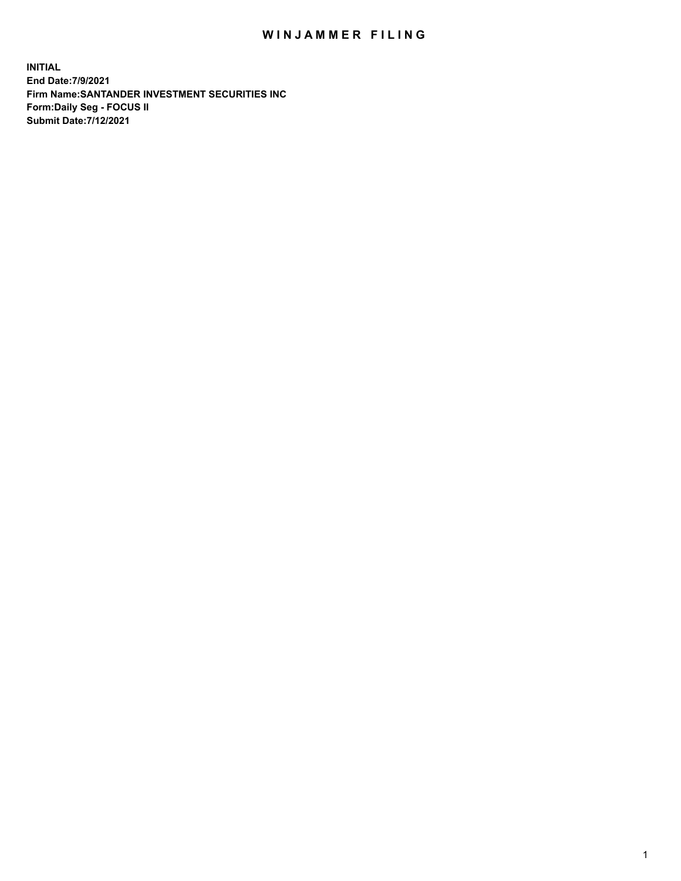## WIN JAMMER FILING

**INITIAL End Date:7/9/2021 Firm Name:SANTANDER INVESTMENT SECURITIES INC Form:Daily Seg - FOCUS II Submit Date:7/12/2021**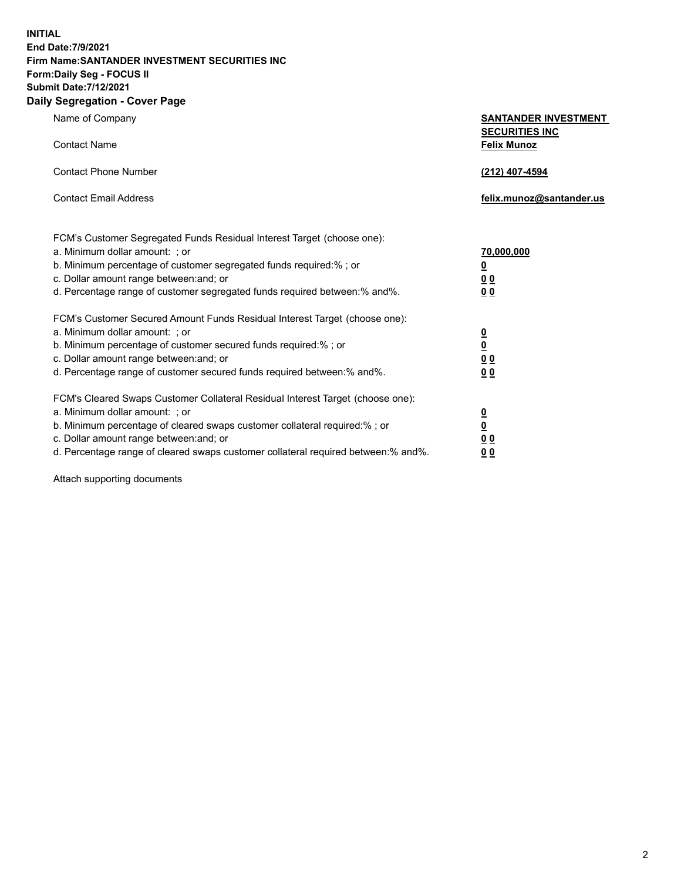**INITIAL End Date:7/9/2021 Firm Name:SANTANDER INVESTMENT SECURITIES INC Form:Daily Seg - FOCUS II Submit Date:7/12/2021 Daily Segregation - Cover Page**

| Name of Company                                                                | <b>SANTANDER INVESTMENT</b> |
|--------------------------------------------------------------------------------|-----------------------------|
|                                                                                | <b>SECURITIES INC</b>       |
| <b>Contact Name</b>                                                            | <b>Felix Munoz</b>          |
|                                                                                |                             |
| <b>Contact Phone Number</b>                                                    | <u>(212) 407-4594</u>       |
| <b>Contact Email Address</b>                                                   | felix.munoz@santander.us    |
|                                                                                |                             |
| FCM's Customer Segregated Funds Residual Interest Target (choose one):         |                             |
| a. Minimum dollar amount: ; or                                                 | 70,000,000                  |
| b. Minimum percentage of customer segregated funds required:% ; or             | <u>0</u>                    |
| c. Dollar amount range between: and; or                                        | 0 <sub>0</sub>              |
| d. Percentage range of customer segregated funds required between:% and%.      | 0 <sub>0</sub>              |
| FCM's Customer Secured Amount Funds Residual Interest Target (choose one):     |                             |
| a. Minimum dollar amount: ; or                                                 |                             |
| b. Minimum percentage of customer secured funds required:%; or                 | $\frac{\Omega}{\Omega}$     |
| c. Dollar amount range between: and; or                                        | 0 <sub>0</sub>              |
| d. Percentage range of customer secured funds required between: % and %.       | 0 <sub>0</sub>              |
| FCM's Cleared Swaps Customer Collateral Residual Interest Target (choose one): |                             |
| a. Minimum dollar amount: ; or                                                 |                             |
| b. Minimum percentage of cleared swaps customer collateral required:% ; or     | $\frac{0}{0}$               |
| c. Dollar amount range between: and; or                                        | 0 <sub>0</sub>              |

d. Percentage range of cleared swaps customer collateral required between:% and%. **0 0**

Attach supporting documents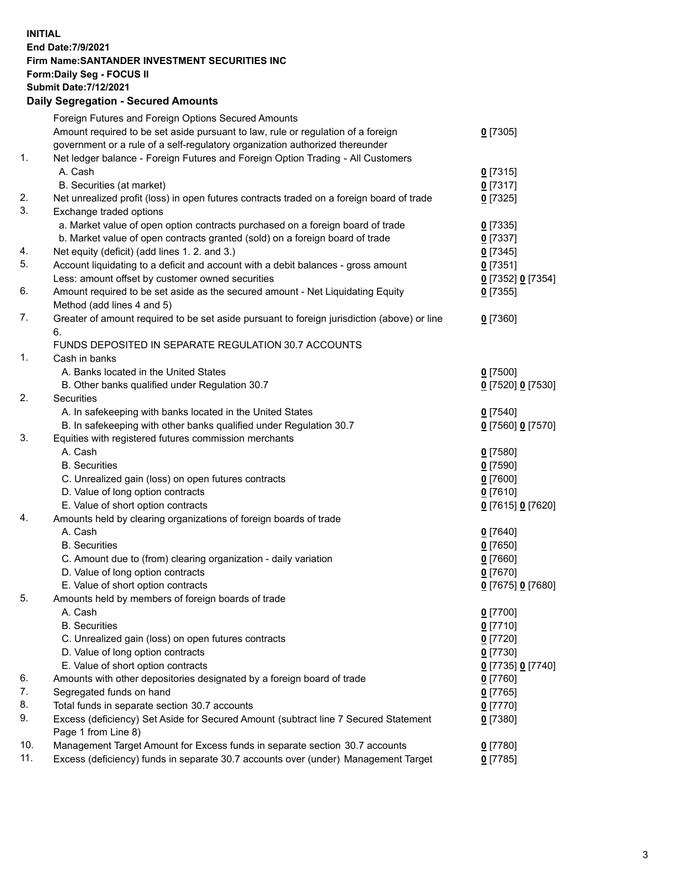**INITIAL End Date:7/9/2021 Firm Name:SANTANDER INVESTMENT SECURITIES INC Form:Daily Seg - FOCUS II Submit Date:7/12/2021 Daily Segregation - Secured Amounts**

|          | Foreign Futures and Foreign Options Secured Amounts                                                |                   |
|----------|----------------------------------------------------------------------------------------------------|-------------------|
|          | Amount required to be set aside pursuant to law, rule or regulation of a foreign                   | $0$ [7305]        |
|          | government or a rule of a self-regulatory organization authorized thereunder                       |                   |
| 1.       | Net ledger balance - Foreign Futures and Foreign Option Trading - All Customers                    |                   |
|          | A. Cash                                                                                            | $0$ [7315]        |
|          | B. Securities (at market)                                                                          | $0$ [7317]        |
| 2.       | Net unrealized profit (loss) in open futures contracts traded on a foreign board of trade          | $0$ [7325]        |
| 3.       | Exchange traded options                                                                            |                   |
|          | a. Market value of open option contracts purchased on a foreign board of trade                     | $0$ [7335]        |
|          | b. Market value of open contracts granted (sold) on a foreign board of trade                       | $0$ [7337]        |
| 4.       | Net equity (deficit) (add lines 1. 2. and 3.)                                                      | $0$ [7345]        |
| 5.       | Account liquidating to a deficit and account with a debit balances - gross amount                  | $0$ [7351]        |
|          | Less: amount offset by customer owned securities                                                   | 0 [7352] 0 [7354] |
| 6.       | Amount required to be set aside as the secured amount - Net Liquidating Equity                     | $0$ [7355]        |
|          | Method (add lines 4 and 5)                                                                         |                   |
| 7.       | Greater of amount required to be set aside pursuant to foreign jurisdiction (above) or line        | $0$ [7360]        |
|          | 6.                                                                                                 |                   |
|          | FUNDS DEPOSITED IN SEPARATE REGULATION 30.7 ACCOUNTS                                               |                   |
| 1.       | Cash in banks                                                                                      |                   |
|          | A. Banks located in the United States                                                              | $0$ [7500]        |
|          | B. Other banks qualified under Regulation 30.7                                                     | 0 [7520] 0 [7530] |
| 2.       | <b>Securities</b>                                                                                  |                   |
|          | A. In safekeeping with banks located in the United States                                          | $0$ [7540]        |
|          | B. In safekeeping with other banks qualified under Regulation 30.7                                 | 0 [7560] 0 [7570] |
| 3.       | Equities with registered futures commission merchants                                              |                   |
|          | A. Cash                                                                                            | $0$ [7580]        |
|          | <b>B.</b> Securities                                                                               | $0$ [7590]        |
|          | C. Unrealized gain (loss) on open futures contracts                                                | $0$ [7600]        |
|          | D. Value of long option contracts                                                                  | $0$ [7610]        |
|          | E. Value of short option contracts                                                                 | 0 [7615] 0 [7620] |
| 4.       | Amounts held by clearing organizations of foreign boards of trade                                  |                   |
|          | A. Cash                                                                                            | $0$ [7640]        |
|          | <b>B.</b> Securities                                                                               | $0$ [7650]        |
|          | C. Amount due to (from) clearing organization - daily variation                                    | $0$ [7660]        |
|          | D. Value of long option contracts                                                                  | $0$ [7670]        |
|          | E. Value of short option contracts                                                                 | 0 [7675] 0 [7680] |
| 5.       | Amounts held by members of foreign boards of trade                                                 |                   |
|          | A. Cash                                                                                            | 0 [7700]          |
|          | <b>B.</b> Securities                                                                               | $0$ [7710]        |
|          | C. Unrealized gain (loss) on open futures contracts                                                | $0$ [7720]        |
|          | D. Value of long option contracts                                                                  | $0$ [7730]        |
|          | E. Value of short option contracts                                                                 | 0 [7735] 0 [7740] |
| 6.       | Amounts with other depositories designated by a foreign board of trade                             | $0$ [7760]        |
| 7.       | Segregated funds on hand                                                                           | $0$ [7765]        |
| 8.<br>9. | Total funds in separate section 30.7 accounts                                                      | $0$ [7770]        |
|          | Excess (deficiency) Set Aside for Secured Amount (subtract line 7 Secured Statement                | $0$ [7380]        |
| 10.      | Page 1 from Line 8)<br>Management Target Amount for Excess funds in separate section 30.7 accounts | $0$ [7780]        |
| 11.      | Excess (deficiency) funds in separate 30.7 accounts over (under) Management Target                 | $0$ [7785]        |
|          |                                                                                                    |                   |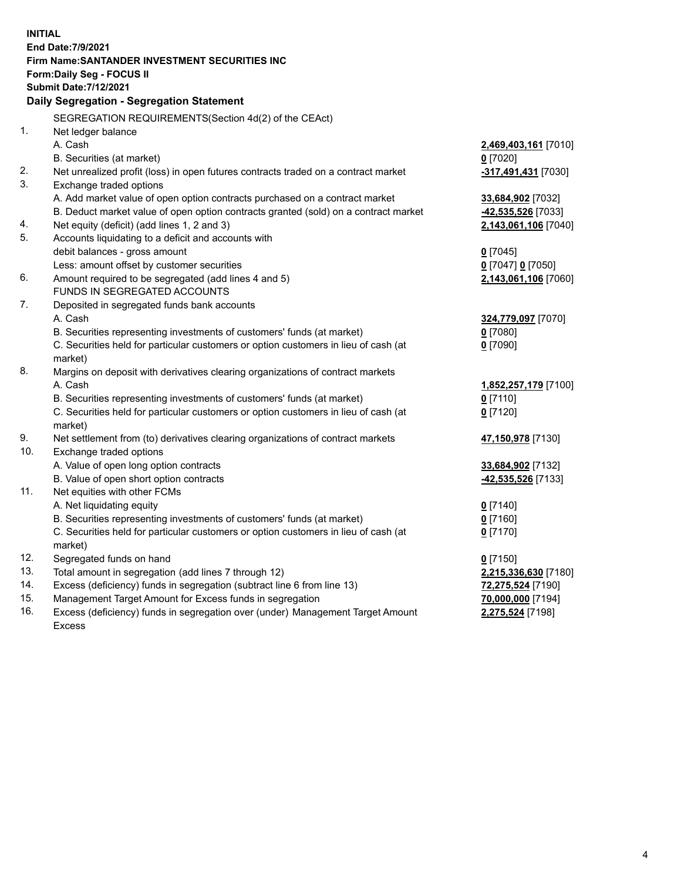| <b>INITIAL</b> | End Date: 7/9/2021<br>Firm Name: SANTANDER INVESTMENT SECURITIES INC<br>Form: Daily Seg - FOCUS II<br><b>Submit Date: 7/12/2021</b><br>Daily Segregation - Segregation Statement |                                    |
|----------------|----------------------------------------------------------------------------------------------------------------------------------------------------------------------------------|------------------------------------|
|                |                                                                                                                                                                                  |                                    |
| 1.             | SEGREGATION REQUIREMENTS(Section 4d(2) of the CEAct)                                                                                                                             |                                    |
|                | Net ledger balance<br>A. Cash                                                                                                                                                    |                                    |
|                | B. Securities (at market)                                                                                                                                                        | 2,469,403,161 [7010]<br>$0$ [7020] |
| 2.             | Net unrealized profit (loss) in open futures contracts traded on a contract market                                                                                               | -317,491,431 [7030]                |
| 3.             | Exchange traded options                                                                                                                                                          |                                    |
|                | A. Add market value of open option contracts purchased on a contract market                                                                                                      | 33,684,902 [7032]                  |
|                | B. Deduct market value of open option contracts granted (sold) on a contract market                                                                                              | -42,535,526 [7033]                 |
| 4.             | Net equity (deficit) (add lines 1, 2 and 3)                                                                                                                                      | 2,143,061,106 [7040]               |
| 5.             | Accounts liquidating to a deficit and accounts with                                                                                                                              |                                    |
|                | debit balances - gross amount                                                                                                                                                    | $0$ [7045]                         |
|                | Less: amount offset by customer securities                                                                                                                                       | $0$ [7047] $0$ [7050]              |
| 6.             | Amount required to be segregated (add lines 4 and 5)                                                                                                                             | 2,143,061,106 [7060]               |
|                | FUNDS IN SEGREGATED ACCOUNTS                                                                                                                                                     |                                    |
| 7.             | Deposited in segregated funds bank accounts                                                                                                                                      |                                    |
|                | A. Cash                                                                                                                                                                          | 324,779,097 [7070]                 |
|                | B. Securities representing investments of customers' funds (at market)                                                                                                           | $0$ [7080]                         |
|                | C. Securities held for particular customers or option customers in lieu of cash (at                                                                                              | $0$ [7090]                         |
|                | market)                                                                                                                                                                          |                                    |
| 8.             | Margins on deposit with derivatives clearing organizations of contract markets                                                                                                   |                                    |
|                | A. Cash                                                                                                                                                                          | 1,852,257,179 [7100]               |
|                | B. Securities representing investments of customers' funds (at market)                                                                                                           | $0$ [7110]                         |
|                | C. Securities held for particular customers or option customers in lieu of cash (at                                                                                              | $0$ [7120]                         |
|                | market)                                                                                                                                                                          |                                    |
| 9.             | Net settlement from (to) derivatives clearing organizations of contract markets                                                                                                  | 47,150,978 [7130]                  |
| 10.            | Exchange traded options                                                                                                                                                          |                                    |
|                | A. Value of open long option contracts                                                                                                                                           | 33,684,902 [7132]                  |
|                | B. Value of open short option contracts                                                                                                                                          | 42,535,526 [7133]                  |
| 11.            | Net equities with other FCMs                                                                                                                                                     |                                    |
|                | A. Net liquidating equity                                                                                                                                                        | $0$ [7140]                         |
|                | B. Securities representing investments of customers' funds (at market)                                                                                                           | $0$ [7160]                         |
|                | C. Securities held for particular customers or option customers in lieu of cash (at                                                                                              | $0$ [7170]                         |
|                | market)                                                                                                                                                                          |                                    |
| 12.            | Segregated funds on hand                                                                                                                                                         | $0$ [7150]                         |
| 13.            | Total amount in segregation (add lines 7 through 12)                                                                                                                             | 2,215,336,630 [7180]               |
| 14.            | Excess (deficiency) funds in segregation (subtract line 6 from line 13)                                                                                                          | 72,275,524 [7190]                  |
| 15.            | Management Target Amount for Excess funds in segregation                                                                                                                         | 70,000,000 [7194]                  |
| 16.            | Excess (deficiency) funds in segregation over (under) Management Target Amount                                                                                                   | 2,275,524 [7198]                   |
|                | <b>Excess</b>                                                                                                                                                                    |                                    |